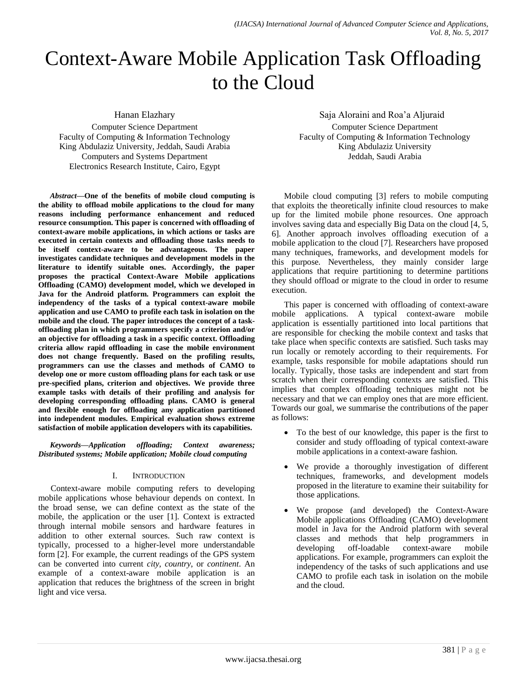# Context-Aware Mobile Application Task Offloading to the Cloud

Hanan Elazhary

Computer Science Department Faculty of Computing & Information Technology King Abdulaziz University, Jeddah, Saudi Arabia Computers and Systems Department Electronics Research Institute, Cairo, Egypt

*Abstract***—One of the benefits of mobile cloud computing is the ability to offload mobile applications to the cloud for many reasons including performance enhancement and reduced resource consumption. This paper is concerned with offloading of context-aware mobile applications, in which actions or tasks are executed in certain contexts and offloading those tasks needs to be itself context-aware to be advantageous. The paper investigates candidate techniques and development models in the literature to identify suitable ones. Accordingly, the paper proposes the practical Context-Aware Mobile applications Offloading (CAMO) development model, which we developed in Java for the Android platform. Programmers can exploit the independency of the tasks of a typical context-aware mobile application and use CAMO to profile each task in isolation on the mobile and the cloud. The paper introduces the concept of a taskoffloading plan in which programmers specify a criterion and/or an objective for offloading a task in a specific context. Offloading criteria allow rapid offloading in case the mobile environment does not change frequently. Based on the profiling results, programmers can use the classes and methods of CAMO to develop one or more custom offloading plans for each task or use pre-specified plans, criterion and objectives. We provide three example tasks with details of their profiling and analysis for developing corresponding offloading plans. CAMO is general and flexible enough for offloading any application partitioned into independent modules. Empirical evaluation shows extreme satisfaction of mobile application developers with its capabilities.**

*Keywords***—***Application offloading; Context awareness; Distributed systems; Mobile application; Mobile cloud computing*

## I. INTRODUCTION

Context-aware mobile computing refers to developing mobile applications whose behaviour depends on context. In the broad sense, we can define context as the state of the mobile, the application or the user [1]. Context is extracted through internal mobile sensors and hardware features in addition to other external sources. Such raw context is typically, processed to a higher-level more understandable form [2]. For example, the current readings of the GPS system can be converted into current *city*, *country*, or *continent*. An example of a context-aware mobile application is an application that reduces the brightness of the screen in bright light and vice versa.

Saja Aloraini and Roa'a Aljuraid

Computer Science Department Faculty of Computing & Information Technology King Abdulaziz University Jeddah, Saudi Arabia

Mobile cloud computing [3] refers to mobile computing that exploits the theoretically infinite cloud resources to make up for the limited mobile phone resources. One approach involves saving data and especially Big Data on the cloud [4, 5, 6]. Another approach involves offloading execution of a mobile application to the cloud [7]. Researchers have proposed many techniques, frameworks, and development models for this purpose. Nevertheless, they mainly consider large applications that require partitioning to determine partitions they should offload or migrate to the cloud in order to resume execution.

This paper is concerned with offloading of context-aware mobile applications. A typical context-aware mobile application is essentially partitioned into local partitions that are responsible for checking the mobile context and tasks that take place when specific contexts are satisfied. Such tasks may run locally or remotely according to their requirements. For example, tasks responsible for mobile adaptations should run locally. Typically, those tasks are independent and start from scratch when their corresponding contexts are satisfied. This implies that complex offloading techniques might not be necessary and that we can employ ones that are more efficient. Towards our goal, we summarise the contributions of the paper as follows:

- To the best of our knowledge, this paper is the first to consider and study offloading of typical context-aware mobile applications in a context-aware fashion.
- We provide a thoroughly investigation of different techniques, frameworks, and development models proposed in the literature to examine their suitability for those applications.
- We propose (and developed) the Context-Aware Mobile applications Offloading (CAMO) development model in Java for the Android platform with several classes and methods that help programmers in developing off-loadable context-aware mobile applications. For example, programmers can exploit the independency of the tasks of such applications and use CAMO to profile each task in isolation on the mobile and the cloud.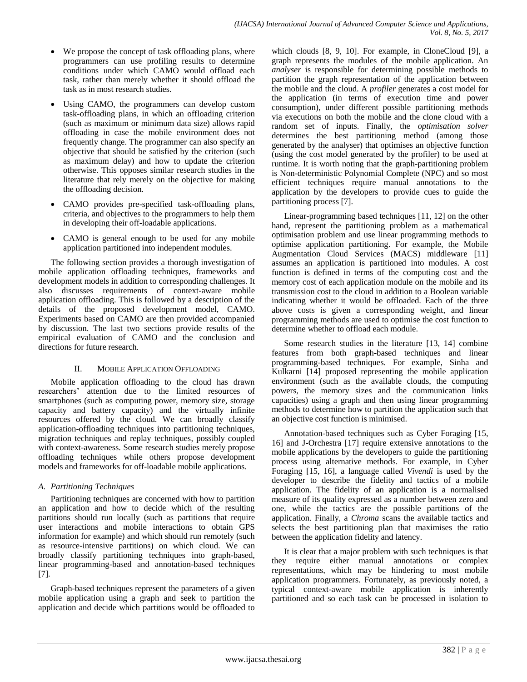- We propose the concept of task offloading plans, where programmers can use profiling results to determine conditions under which CAMO would offload each task, rather than merely whether it should offload the task as in most research studies.
- Using CAMO, the programmers can develop custom task-offloading plans, in which an offloading criterion (such as maximum or minimum data size) allows rapid offloading in case the mobile environment does not frequently change. The programmer can also specify an objective that should be satisfied by the criterion (such as maximum delay) and how to update the criterion otherwise. This opposes similar research studies in the literature that rely merely on the objective for making the offloading decision.
- CAMO provides pre-specified task-offloading plans, criteria, and objectives to the programmers to help them in developing their off-loadable applications.
- CAMO is general enough to be used for any mobile application partitioned into independent modules.

The following section provides a thorough investigation of mobile application offloading techniques, frameworks and development models in addition to corresponding challenges. It also discusses requirements of context-aware mobile application offloading. This is followed by a description of the details of the proposed development model, CAMO. Experiments based on CAMO are then provided accompanied by discussion. The last two sections provide results of the empirical evaluation of CAMO and the conclusion and directions for future research.

#### II. MOBILE APPLICATION OFFLOADING

Mobile application offloading to the cloud has drawn researchers' attention due to the limited resources of smartphones (such as computing power, memory size, storage capacity and battery capacity) and the virtually infinite resources offered by the cloud. We can broadly classify application-offloading techniques into partitioning techniques, migration techniques and replay techniques, possibly coupled with context-awareness. Some research studies merely propose offloading techniques while others propose development models and frameworks for off-loadable mobile applications.

## *A. Partitioning Techniques*

Partitioning techniques are concerned with how to partition an application and how to decide which of the resulting partitions should run locally (such as partitions that require user interactions and mobile interactions to obtain GPS information for example) and which should run remotely (such as resource-intensive partitions) on which cloud. We can broadly classify partitioning techniques into graph-based, linear programming-based and annotation-based techniques [7].

Graph-based techniques represent the parameters of a given mobile application using a graph and seek to partition the application and decide which partitions would be offloaded to which clouds [8, 9, 10]. For example, in CloneCloud [9], a graph represents the modules of the mobile application. An *analyser* is responsible for determining possible methods to partition the graph representation of the application between the mobile and the cloud. A *profiler* generates a cost model for the application (in terms of execution time and power consumption), under different possible partitioning methods via executions on both the mobile and the clone cloud with a random set of inputs. Finally, the *optimisation solver* determines the best partitioning method (among those generated by the analyser) that optimises an objective function (using the cost model generated by the profiler) to be used at runtime. It is worth noting that the graph-partitioning problem is Non-deterministic Polynomial Complete (NPC) and so most efficient techniques require manual annotations to the application by the developers to provide cues to guide the partitioning process [7].

Linear-programming based techniques [11, 12] on the other hand, represent the partitioning problem as a mathematical optimisation problem and use linear programming methods to optimise application partitioning. For example, the Mobile Augmentation Cloud Services (MACS) middleware [11] assumes an application is partitioned into modules. A cost function is defined in terms of the computing cost and the memory cost of each application module on the mobile and its transmission cost to the cloud in addition to a Boolean variable indicating whether it would be offloaded. Each of the three above costs is given a corresponding weight, and linear programming methods are used to optimise the cost function to determine whether to offload each module.

Some research studies in the literature [13, 14] combine features from both graph-based techniques and linear programming-based techniques. For example, Sinha and Kulkarni [14] proposed representing the mobile application environment (such as the available clouds, the computing powers, the memory sizes and the communication links capacities) using a graph and then using linear programming methods to determine how to partition the application such that an objective cost function is minimised.

Annotation-based techniques such as Cyber Foraging [15, 16] and J-Orchestra [17] require extensive annotations to the mobile applications by the developers to guide the partitioning process using alternative methods. For example, in Cyber Foraging [15, 16], a language called *Vivendi* is used by the developer to describe the fidelity and tactics of a mobile application. The fidelity of an application is a normalised measure of its quality expressed as a number between zero and one, while the tactics are the possible partitions of the application. Finally, a *Chroma* scans the available tactics and selects the best partitioning plan that maximises the ratio between the application fidelity and latency.

It is clear that a major problem with such techniques is that they require either manual annotations or complex representations, which may be hindering to most mobile application programmers. Fortunately, as previously noted, a typical context-aware mobile application is inherently partitioned and so each task can be processed in isolation to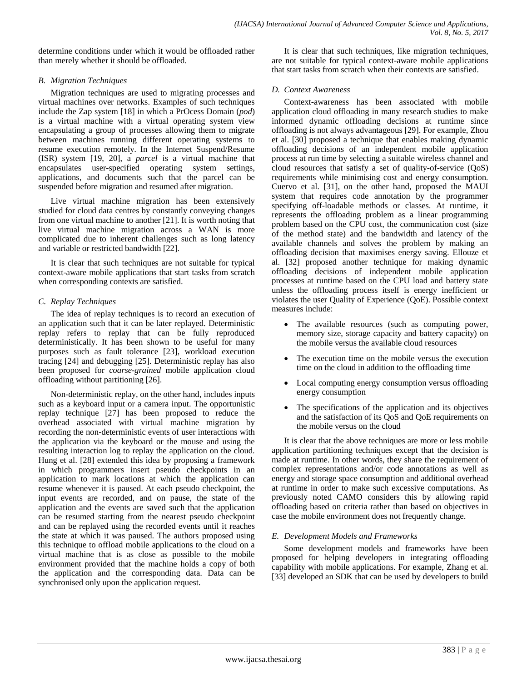determine conditions under which it would be offloaded rather than merely whether it should be offloaded.

## *B. Migration Techniques*

Migration techniques are used to migrating processes and virtual machines over networks. Examples of such techniques include the Zap system [18] in which a PrOcess Domain (*pod*) is a virtual machine with a virtual operating system view encapsulating a group of processes allowing them to migrate between machines running different operating systems to resume execution remotely. In the Internet Suspend/Resume (ISR) system [19, 20], a *parcel* is a virtual machine that encapsulates user-specified operating system settings, applications, and documents such that the parcel can be suspended before migration and resumed after migration.

Live virtual machine migration has been extensively studied for cloud data centres by constantly conveying changes from one virtual machine to another [21]. It is worth noting that live virtual machine migration across a WAN is more complicated due to inherent challenges such as long latency and variable or restricted bandwidth [22].

It is clear that such techniques are not suitable for typical context-aware mobile applications that start tasks from scratch when corresponding contexts are satisfied.

# *C. Replay Techniques*

The idea of replay techniques is to record an execution of an application such that it can be later replayed. Deterministic replay refers to replay that can be fully reproduced deterministically. It has been shown to be useful for many purposes such as fault tolerance [23], workload execution tracing [24] and debugging [25]. Deterministic replay has also been proposed for *coarse-grained* mobile application cloud offloading without partitioning [26].

Non-deterministic replay, on the other hand, includes inputs such as a keyboard input or a camera input. The opportunistic replay technique [27] has been proposed to reduce the overhead associated with virtual machine migration by recording the non-deterministic events of user interactions with the application via the keyboard or the mouse and using the resulting interaction log to replay the application on the cloud. Hung et al. [28] extended this idea by proposing a framework in which programmers insert pseudo checkpoints in an application to mark locations at which the application can resume whenever it is paused. At each pseudo checkpoint, the input events are recorded, and on pause, the state of the application and the events are saved such that the application can be resumed starting from the nearest pseudo checkpoint and can be replayed using the recorded events until it reaches the state at which it was paused. The authors proposed using this technique to offload mobile applications to the cloud on a virtual machine that is as close as possible to the mobile environment provided that the machine holds a copy of both the application and the corresponding data. Data can be synchronised only upon the application request.

It is clear that such techniques, like migration techniques, are not suitable for typical context-aware mobile applications that start tasks from scratch when their contexts are satisfied.

# *D. Context Awareness*

Context-awareness has been associated with mobile application cloud offloading in many research studies to make informed dynamic offloading decisions at runtime since offloading is not always advantageous [29]. For example, Zhou et al. [30] proposed a technique that enables making dynamic offloading decisions of an independent mobile application process at run time by selecting a suitable wireless channel and cloud resources that satisfy a set of quality-of-service (QoS) requirements while minimising cost and energy consumption. Cuervo et al. [31], on the other hand, proposed the MAUI system that requires code annotation by the programmer specifying off-loadable methods or classes. At runtime, it represents the offloading problem as a linear programming problem based on the CPU cost, the communication cost (size of the method state) and the bandwidth and latency of the available channels and solves the problem by making an offloading decision that maximises energy saving. Ellouze et al. [32] proposed another technique for making dynamic offloading decisions of independent mobile application processes at runtime based on the CPU load and battery state unless the offloading process itself is energy inefficient or violates the user Quality of Experience (QoE). Possible context measures include:

- The available resources (such as computing power, memory size, storage capacity and battery capacity) on the mobile versus the available cloud resources
- The execution time on the mobile versus the execution time on the cloud in addition to the offloading time
- Local computing energy consumption versus offloading energy consumption
- The specifications of the application and its objectives and the satisfaction of its QoS and QoE requirements on the mobile versus on the cloud

It is clear that the above techniques are more or less mobile application partitioning techniques except that the decision is made at runtime. In other words, they share the requirement of complex representations and/or code annotations as well as energy and storage space consumption and additional overhead at runtime in order to make such excessive computations. As previously noted CAMO considers this by allowing rapid offloading based on criteria rather than based on objectives in case the mobile environment does not frequently change.

# *E. Development Models and Frameworks*

Some development models and frameworks have been proposed for helping developers in integrating offloading capability with mobile applications. For example, Zhang et al. [33] developed an SDK that can be used by developers to build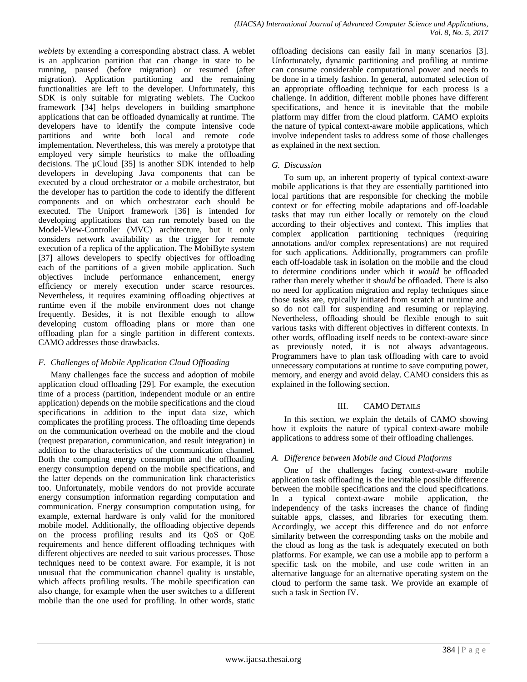*weblets* by extending a corresponding abstract class. A weblet is an application partition that can change in state to be running, paused (before migration) or resumed (after migration). Application partitioning and the remaining functionalities are left to the developer. Unfortunately, this SDK is only suitable for migrating weblets. The Cuckoo framework [34] helps developers in building smartphone applications that can be offloaded dynamically at runtime. The developers have to identify the compute intensive code partitions and write both local and remote code implementation. Nevertheless, this was merely a prototype that employed very simple heuristics to make the offloading decisions. The µCloud [35] is another SDK intended to help developers in developing Java components that can be executed by a cloud orchestrator or a mobile orchestrator, but the developer has to partition the code to identify the different components and on which orchestrator each should be executed. The Uniport framework [36] is intended for developing applications that can run remotely based on the Model-View-Controller (MVC) architecture, but it only considers network availability as the trigger for remote execution of a replica of the application. The MobiByte system [37] allows developers to specify objectives for offloading each of the partitions of a given mobile application. Such objectives include performance enhancement, energy efficiency or merely execution under scarce resources. Nevertheless, it requires examining offloading objectives at runtime even if the mobile environment does not change frequently. Besides, it is not flexible enough to allow developing custom offloading plans or more than one offloading plan for a single partition in different contexts. CAMO addresses those drawbacks.

## *F. Challenges of Mobile Application Cloud Offloading*

Many challenges face the success and adoption of mobile application cloud offloading [29]. For example, the execution time of a process (partition, independent module or an entire application) depends on the mobile specifications and the cloud specifications in addition to the input data size, which complicates the profiling process. The offloading time depends on the communication overhead on the mobile and the cloud (request preparation, communication, and result integration) in addition to the characteristics of the communication channel. Both the computing energy consumption and the offloading energy consumption depend on the mobile specifications, and the latter depends on the communication link characteristics too. Unfortunately, mobile vendors do not provide accurate energy consumption information regarding computation and communication. Energy consumption computation using, for example, external hardware is only valid for the monitored mobile model. Additionally, the offloading objective depends on the process profiling results and its QoS or QoE requirements and hence different offloading techniques with different objectives are needed to suit various processes. Those techniques need to be context aware. For example, it is not unusual that the communication channel quality is unstable, which affects profiling results. The mobile specification can also change, for example when the user switches to a different mobile than the one used for profiling. In other words, static

offloading decisions can easily fail in many scenarios [3]. Unfortunately, dynamic partitioning and profiling at runtime can consume considerable computational power and needs to be done in a timely fashion. In general, automated selection of an appropriate offloading technique for each process is a challenge. In addition, different mobile phones have different specifications, and hence it is inevitable that the mobile platform may differ from the cloud platform. CAMO exploits the nature of typical context-aware mobile applications, which involve independent tasks to address some of those challenges as explained in the next section.

## *G. Discussion*

To sum up, an inherent property of typical context-aware mobile applications is that they are essentially partitioned into local partitions that are responsible for checking the mobile context or for effecting mobile adaptations and off-loadable tasks that may run either locally or remotely on the cloud according to their objectives and context. This implies that complex application partitioning techniques (requiring annotations and/or complex representations) are not required for such applications. Additionally, programmers can profile each off-loadable task in isolation on the mobile and the cloud to determine conditions under which it *would* be offloaded rather than merely whether it *should* be offloaded. There is also no need for application migration and replay techniques since those tasks are, typically initiated from scratch at runtime and so do not call for suspending and resuming or replaying. Nevertheless, offloading should be flexible enough to suit various tasks with different objectives in different contexts. In other words, offloading itself needs to be context-aware since as previously noted, it is not always advantageous. Programmers have to plan task offloading with care to avoid unnecessary computations at runtime to save computing power, memory, and energy and avoid delay. CAMO considers this as explained in the following section.

## III. CAMO DETAILS

In this section, we explain the details of CAMO showing how it exploits the nature of typical context-aware mobile applications to address some of their offloading challenges.

## *A. Difference between Mobile and Cloud Platforms*

One of the challenges facing context-aware mobile application task offloading is the inevitable possible difference between the mobile specifications and the cloud specifications. In a typical context-aware mobile application, the independency of the tasks increases the chance of finding suitable apps, classes, and libraries for executing them. Accordingly, we accept this difference and do not enforce similarity between the corresponding tasks on the mobile and the cloud as long as the task is adequately executed on both platforms. For example, we can use a mobile app to perform a specific task on the mobile, and use code written in an alternative language for an alternative operating system on the cloud to perform the same task. We provide an example of such a task in Section IV.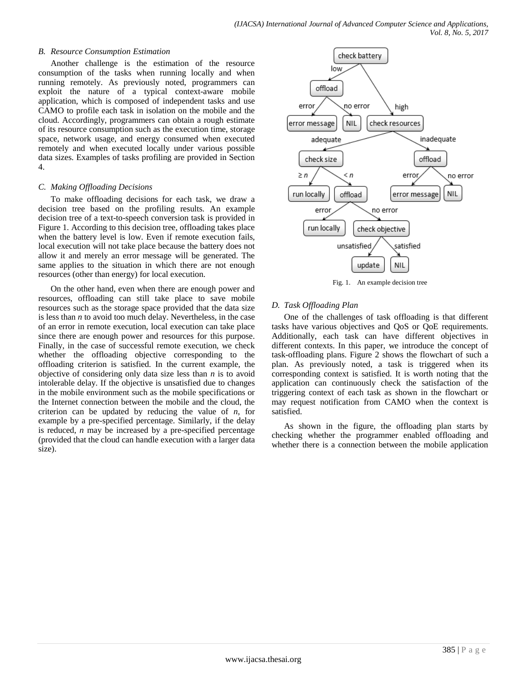#### *B. Resource Consumption Estimation*

Another challenge is the estimation of the resource consumption of the tasks when running locally and when running remotely. As previously noted, programmers can exploit the nature of a typical context-aware mobile application, which is composed of independent tasks and use CAMO to profile each task in isolation on the mobile and the cloud. Accordingly, programmers can obtain a rough estimate of its resource consumption such as the execution time, storage space, network usage, and energy consumed when executed remotely and when executed locally under various possible data sizes. Examples of tasks profiling are provided in Section 4.

### *C. Making Offloading Decisions*

To make offloading decisions for each task, we draw a decision tree based on the profiling results. An example decision tree of a text-to-speech conversion task is provided in Figure 1. According to this decision tree, offloading takes place when the battery level is low. Even if remote execution fails, local execution will not take place because the battery does not allow it and merely an error message will be generated. The same applies to the situation in which there are not enough resources (other than energy) for local execution.

On the other hand, even when there are enough power and resources, offloading can still take place to save mobile resources such as the storage space provided that the data size is less than *n* to avoid too much delay. Nevertheless, in the case of an error in remote execution, local execution can take place since there are enough power and resources for this purpose. Finally, in the case of successful remote execution, we check whether the offloading objective corresponding to the offloading criterion is satisfied. In the current example, the objective of considering only data size less than *n* is to avoid intolerable delay. If the objective is unsatisfied due to changes in the mobile environment such as the mobile specifications or the Internet connection between the mobile and the cloud, the criterion can be updated by reducing the value of *n*, for example by a pre-specified percentage. Similarly, if the delay is reduced, *n* may be increased by a pre-specified percentage (provided that the cloud can handle execution with a larger data size).



Fig. 1. An example decision tree

#### *D. Task Offloading Plan*

One of the challenges of task offloading is that different tasks have various objectives and QoS or QoE requirements. Additionally, each task can have different objectives in different contexts. In this paper, we introduce the concept of task-offloading plans. Figure 2 shows the flowchart of such a plan. As previously noted, a task is triggered when its corresponding context is satisfied. It is worth noting that the application can continuously check the satisfaction of the triggering context of each task as shown in the flowchart or may request notification from CAMO when the context is satisfied.

As shown in the figure, the offloading plan starts by checking whether the programmer enabled offloading and whether there is a connection between the mobile application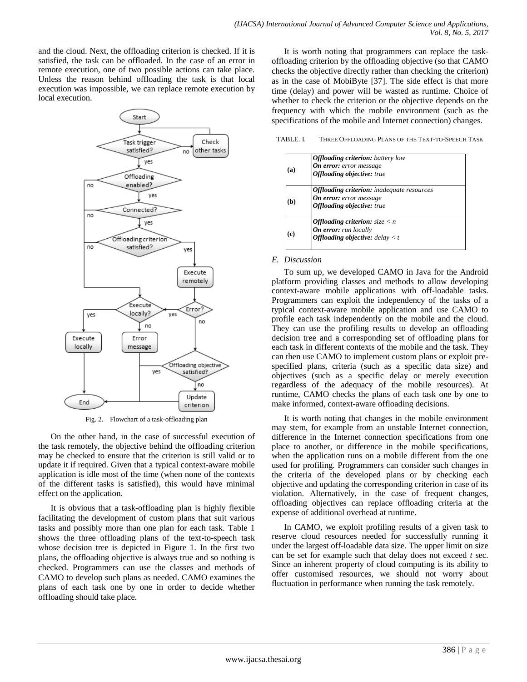and the cloud. Next, the offloading criterion is checked. If it is satisfied, the task can be offloaded. In the case of an error in remote execution, one of two possible actions can take place. Unless the reason behind offloading the task is that local execution was impossible, we can replace remote execution by local execution.



Fig. 2. Flowchart of a task-offloading plan

On the other hand, in the case of successful execution of the task remotely, the objective behind the offloading criterion may be checked to ensure that the criterion is still valid or to update it if required. Given that a typical context-aware mobile application is idle most of the time (when none of the contexts of the different tasks is satisfied), this would have minimal effect on the application.

It is obvious that a task-offloading plan is highly flexible facilitating the development of custom plans that suit various tasks and possibly more than one plan for each task. Table 1 shows the three offloading plans of the text-to-speech task whose decision tree is depicted in Figure 1. In the first two plans, the offloading objective is always true and so nothing is checked. Programmers can use the classes and methods of CAMO to develop such plans as needed. CAMO examines the plans of each task one by one in order to decide whether offloading should take place.

It is worth noting that programmers can replace the taskoffloading criterion by the offloading objective (so that CAMO checks the objective directly rather than checking the criterion) as in the case of MobiByte [37]. The side effect is that more time (delay) and power will be wasted as runtime. Choice of whether to check the criterion or the objective depends on the frequency with which the mobile environment (such as the specifications of the mobile and Internet connection) changes.

TABLE. I. THREE OFFLOADING PLANS OF THE TEXT-TO-SPEECH TASK

|           | <b>Offloading criterion:</b> battery low          |  |
|-----------|---------------------------------------------------|--|
| $\bf{a)}$ | <b>On error:</b> error message                    |  |
|           | <b>Offloading objective:</b> true                 |  |
| b)        | <b>Offloading criterion:</b> inadequate resources |  |
|           | <b>On error:</b> error message                    |  |
|           | <b>Offloading objective:</b> true                 |  |
| c)        | <b>Offloading criterion:</b> $size < n$           |  |
|           | <b>On error:</b> run locally                      |  |
|           | <b>Offloading objective:</b> delay $\lt t$        |  |

### *E. Discussion*

To sum up, we developed CAMO in Java for the Android platform providing classes and methods to allow developing context-aware mobile applications with off-loadable tasks. Programmers can exploit the independency of the tasks of a typical context-aware mobile application and use CAMO to profile each task independently on the mobile and the cloud. They can use the profiling results to develop an offloading decision tree and a corresponding set of offloading plans for each task in different contexts of the mobile and the task. They can then use CAMO to implement custom plans or exploit prespecified plans, criteria (such as a specific data size) and objectives (such as a specific delay or merely execution regardless of the adequacy of the mobile resources). At runtime, CAMO checks the plans of each task one by one to make informed, context-aware offloading decisions.

It is worth noting that changes in the mobile environment may stem, for example from an unstable Internet connection, difference in the Internet connection specifications from one place to another, or difference in the mobile specifications, when the application runs on a mobile different from the one used for profiling. Programmers can consider such changes in the criteria of the developed plans or by checking each objective and updating the corresponding criterion in case of its violation. Alternatively, in the case of frequent changes, offloading objectives can replace offloading criteria at the expense of additional overhead at runtime.

In CAMO, we exploit profiling results of a given task to reserve cloud resources needed for successfully running it under the largest off-loadable data size. The upper limit on size can be set for example such that delay does not exceed *t* sec. Since an inherent property of cloud computing is its ability to offer customised resources, we should not worry about fluctuation in performance when running the task remotely.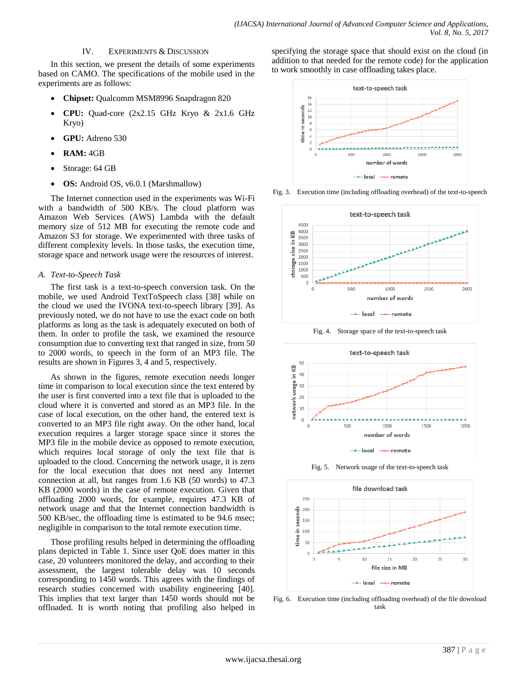#### IV. EXPERIMENTS & DISCUSSION

In this section, we present the details of some experiments based on CAMO. The specifications of the mobile used in the experiments are as follows:

- **Chipset:** Qualcomm MSM8996 Snapdragon 820
- **CPU:** Quad-core (2x2.15 GHz Kryo & 2x1.6 GHz Kryo)
- **GPU:** Adreno 530
- **RAM:** 4GB
- Storage: 64 GB
- **OS:** Android OS, v6.0.1 (Marshmallow)

The Internet connection used in the experiments was Wi-Fi with a bandwidth of 500 KB/s. The cloud platform was Amazon Web Services (AWS) Lambda with the default memory size of 512 MB for executing the remote code and Amazon S3 for storage. We experimented with three tasks of different complexity levels. In those tasks, the execution time, storage space and network usage were the resources of interest.

#### *A. Text-to-Speech Task*

The first task is a text-to-speech conversion task. On the mobile, we used Android TextToSpeech class [38] while on the cloud we used the IVONA text-to-speech library [39]. As previously noted, we do not have to use the exact code on both platforms as long as the task is adequately executed on both of them. In order to profile the task, we examined the resource consumption due to converting text that ranged in size, from 50 to 2000 words, to speech in the form of an MP3 file. The results are shown in Figures 3, 4 and 5, respectively.

As shown in the figures, remote execution needs longer time in comparison to local execution since the text entered by the user is first converted into a text file that is uploaded to the cloud where it is converted and stored as an MP3 file. In the case of local execution, on the other hand, the entered text is converted to an MP3 file right away. On the other hand, local execution requires a larger storage space since it stores the MP3 file in the mobile device as opposed to remote execution, which requires local storage of only the text file that is uploaded to the cloud. Concerning the network usage, it is zero for the local execution that does not need any Internet connection at all, but ranges from 1.6 KB (50 words) to 47.3 KB (2000 words) in the case of remote execution. Given that offloading 2000 words, for example, requires 47.3 KB of network usage and that the Internet connection bandwidth is 500 KB/sec, the offloading time is estimated to be 94.6 msec; negligible in comparison to the total remote execution time.

Those profiling results helped in determining the offloading plans depicted in Table 1. Since user QoE does matter in this case, 20 volunteers monitored the delay, and according to their assessment, the largest tolerable delay was 10 seconds corresponding to 1450 words. This agrees with the findings of research studies concerned with usability engineering [40]. This implies that text larger than 1450 words should not be offloaded. It is worth noting that profiling also helped in specifying the storage space that should exist on the cloud (in addition to that needed for the remote code) for the application to work smoothly in case offloading takes place.



Fig. 3. Execution time (including offloading overhead) of the text-to-speech







Fig. 5. Network usage of the text-to-speech task



Fig. 6. Execution time (including offloading overhead) of the file download task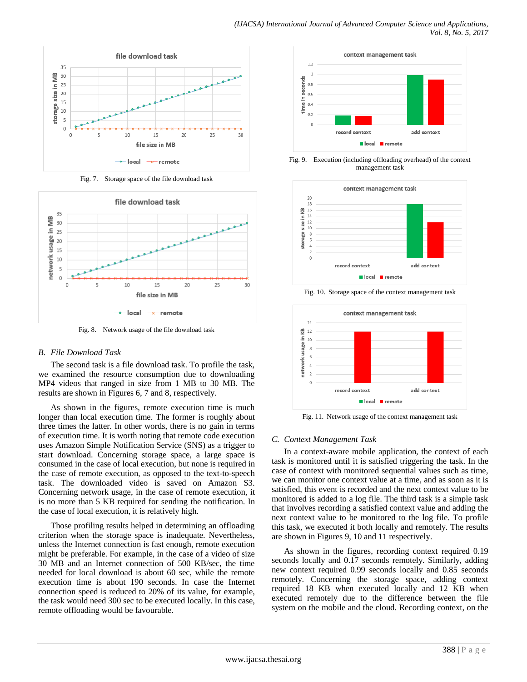

Fig. 7. Storage space of the file download task



Fig. 8. Network usage of the file download task

#### *B. File Download Task*

The second task is a file download task. To profile the task, we examined the resource consumption due to downloading MP4 videos that ranged in size from 1 MB to 30 MB. The results are shown in Figures 6, 7 and 8, respectively.

As shown in the figures, remote execution time is much longer than local execution time. The former is roughly about three times the latter. In other words, there is no gain in terms of execution time. It is worth noting that remote code execution uses Amazon Simple Notification Service (SNS) as a trigger to start download. Concerning storage space, a large space is consumed in the case of local execution, but none is required in the case of remote execution, as opposed to the text-to-speech task. The downloaded video is saved on Amazon S3. Concerning network usage, in the case of remote execution, it is no more than 5 KB required for sending the notification. In the case of local execution, it is relatively high.

Those profiling results helped in determining an offloading criterion when the storage space is inadequate. Nevertheless, unless the Internet connection is fast enough, remote execution might be preferable. For example, in the case of a video of size 30 MB and an Internet connection of 500 KB/sec, the time needed for local download is about 60 sec, while the remote execution time is about 190 seconds. In case the Internet connection speed is reduced to 20% of its value, for example, the task would need 300 sec to be executed locally. In this case, remote offloading would be favourable.



Fig. 9. Execution (including offloading overhead) of the context management task



Fig. 10. Storage space of the context management task



Fig. 11. Network usage of the context management task

## *C. Context Management Task*

In a context-aware mobile application, the context of each task is monitored until it is satisfied triggering the task. In the case of context with monitored sequential values such as time, we can monitor one context value at a time, and as soon as it is satisfied, this event is recorded and the next context value to be monitored is added to a log file. The third task is a simple task that involves recording a satisfied context value and adding the next context value to be monitored to the log file. To profile this task, we executed it both locally and remotely. The results are shown in Figures 9, 10 and 11 respectively.

As shown in the figures, recording context required 0.19 seconds locally and 0.17 seconds remotely. Similarly, adding new context required 0.99 seconds locally and 0.85 seconds remotely. Concerning the storage space, adding context required 18 KB when executed locally and 12 KB when executed remotely due to the difference between the file system on the mobile and the cloud. Recording context, on the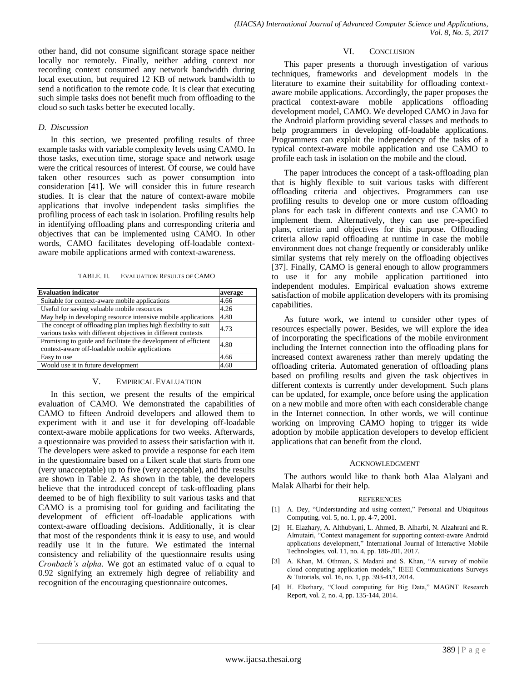other hand, did not consume significant storage space neither locally nor remotely. Finally, neither adding context nor recording context consumed any network bandwidth during local execution, but required 12 KB of network bandwidth to send a notification to the remote code. It is clear that executing such simple tasks does not benefit much from offloading to the cloud so such tasks better be executed locally.

### *D. Discussion*

In this section, we presented profiling results of three example tasks with variable complexity levels using CAMO. In those tasks, execution time, storage space and network usage were the critical resources of interest. Of course, we could have taken other resources such as power consumption into consideration [41]. We will consider this in future research studies. It is clear that the nature of context-aware mobile applications that involve independent tasks simplifies the profiling process of each task in isolation. Profiling results help in identifying offloading plans and corresponding criteria and objectives that can be implemented using CAMO. In other words, CAMO facilitates developing off-loadable contextaware mobile applications armed with context-awareness.

TABLE. II. EVALUATION RESULTS OF CAMO

| <b>Evaluation indicator</b>                                                                                                      |      |
|----------------------------------------------------------------------------------------------------------------------------------|------|
| Suitable for context-aware mobile applications                                                                                   |      |
| Useful for saving valuable mobile resources                                                                                      | 4.26 |
| May help in developing resource intensive mobile applications                                                                    |      |
| The concept of offloading plan implies high flexibility to suit<br>various tasks with different objectives in different contexts |      |
| Promising to guide and facilitate the development of efficient<br>context-aware off-loadable mobile applications                 |      |
| Easy to use                                                                                                                      |      |
| Would use it in future development                                                                                               |      |

#### V. EMPIRICAL EVALUATION

In this section, we present the results of the empirical evaluation of CAMO. We demonstrated the capabilities of CAMO to fifteen Android developers and allowed them to experiment with it and use it for developing off-loadable context-aware mobile applications for two weeks. Afterwards, a questionnaire was provided to assess their satisfaction with it. The developers were asked to provide a response for each item in the questionnaire based on a Likert scale that starts from one (very unacceptable) up to five (very acceptable), and the results are shown in Table 2. As shown in the table, the developers believe that the introduced concept of task-offloading plans deemed to be of high flexibility to suit various tasks and that CAMO is a promising tool for guiding and facilitating the development of efficient off-loadable applications with context-aware offloading decisions. Additionally, it is clear that most of the respondents think it is easy to use, and would readily use it in the future. We estimated the internal consistency and reliability of the questionnaire results using *Cronbach's alpha*. We got an estimated value of α equal to 0.92 signifying an extremely high degree of reliability and recognition of the encouraging questionnaire outcomes.

#### VI. CONCLUSION

This paper presents a thorough investigation of various techniques, frameworks and development models in the literature to examine their suitability for offloading contextaware mobile applications. Accordingly, the paper proposes the practical context-aware mobile applications offloading development model, CAMO. We developed CAMO in Java for the Android platform providing several classes and methods to help programmers in developing off-loadable applications. Programmers can exploit the independency of the tasks of a typical context-aware mobile application and use CAMO to profile each task in isolation on the mobile and the cloud.

The paper introduces the concept of a task-offloading plan that is highly flexible to suit various tasks with different offloading criteria and objectives. Programmers can use profiling results to develop one or more custom offloading plans for each task in different contexts and use CAMO to implement them. Alternatively, they can use pre-specified plans, criteria and objectives for this purpose. Offloading criteria allow rapid offloading at runtime in case the mobile environment does not change frequently or considerably unlike similar systems that rely merely on the offloading objectives [37]. Finally, CAMO is general enough to allow programmers to use it for any mobile application partitioned into independent modules. Empirical evaluation shows extreme satisfaction of mobile application developers with its promising capabilities.

As future work, we intend to consider other types of resources especially power. Besides, we will explore the idea of incorporating the specifications of the mobile environment including the Internet connection into the offloading plans for increased context awareness rather than merely updating the offloading criteria. Automated generation of offloading plans based on profiling results and given the task objectives in different contexts is currently under development. Such plans can be updated, for example, once before using the application on a new mobile and more often with each considerable change in the Internet connection. In other words, we will continue working on improving CAMO hoping to trigger its wide adoption by mobile application developers to develop efficient applications that can benefit from the cloud.

#### ACKNOWLEDGMENT

The authors would like to thank both Alaa Alalyani and Malak Alharbi for their help.

#### REFERENCES

- [1] A. Dey, "Understanding and using context," Personal and Ubiquitous Computing, vol. 5, no. 1, pp. 4-7, 2001.
- [2] H. Elazhary, A. Althubyani, L. Ahmed, B. Alharbi, N. Alzahrani and R. Almutairi, "Context management for supporting context-aware Android applications development," International Journal of Interactive Mobile Technologies, vol. 11, no. 4, pp. 186-201, 2017.
- [3] A. Khan, M. Othman, S. Madani and S. Khan, "A survey of mobile cloud computing application models," IEEE Communications Surveys & Tutorials, vol. 16, no. 1, pp. 393-413, 2014.
- [4] H. Elazhary, "Cloud computing for Big Data," MAGNT Research Report, vol. 2, no. 4, pp. 135-144, 2014.